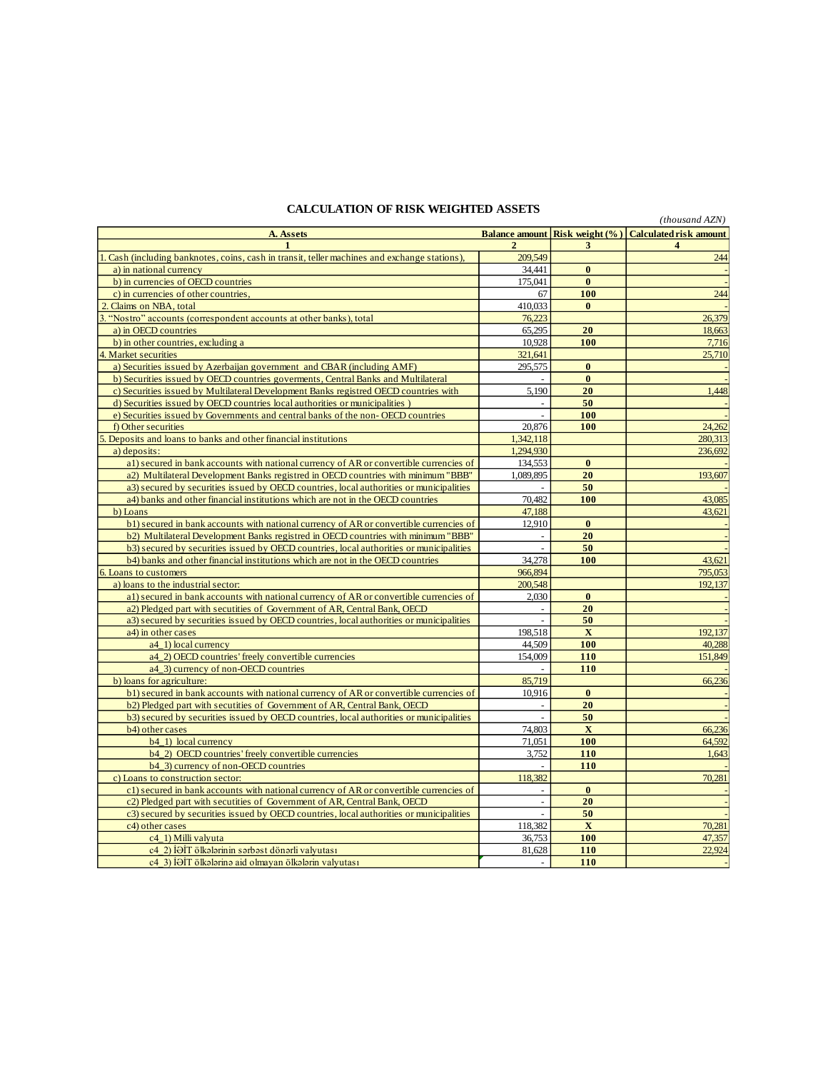## **CALCULATION OF RISK WEIGHTED ASSETS**

| CALCOLATION OF KINK WEIGHTED ANNETS<br>(thousand AZN)                                      |                          |              |                                                       |  |  |
|--------------------------------------------------------------------------------------------|--------------------------|--------------|-------------------------------------------------------|--|--|
| A. Assets                                                                                  |                          |              | Balance amount Risk weight (%) Calculated risk amount |  |  |
| 1                                                                                          |                          | 3            | 4                                                     |  |  |
| Cash (including banknotes, coins, cash in transit, teller machines and exchange stations). | 209,549                  |              | 244                                                   |  |  |
| a) in national currency                                                                    | 34.441                   | $\bf{0}$     |                                                       |  |  |
| b) in currencies of OECD countries                                                         | 175,041                  | $\bf{0}$     |                                                       |  |  |
| c) in currencies of other countries,                                                       | 67                       | 100          | 244                                                   |  |  |
| Claims on NBA, total                                                                       | 410.033                  | $\bf{0}$     |                                                       |  |  |
| "Nostro" accounts (correspondent accounts at other banks), total<br>3.                     | 76,223                   |              | 26,379                                                |  |  |
| a) in OECD countries                                                                       | 65,295                   | 20           | 18,663                                                |  |  |
| b) in other countries, excluding a                                                         | 10,928                   | 100          | 7,716                                                 |  |  |
| $\overline{4}$<br>Market securities                                                        | 321,641                  |              | 25,710                                                |  |  |
| a) Securities issued by Azerbaijan government and CBAR (including AMF)                     | 295,575                  | $\bf{0}$     |                                                       |  |  |
| b) Securities issued by OECD countries governents, Central Banks and Multilateral          |                          | $\bf{0}$     |                                                       |  |  |
| c) Securities issued by Multilateral Development Banks registred OECD countries with       | 5,190                    | 20           | 1,448                                                 |  |  |
| d) Securities issued by OECD countries local authorities or municipalities )               |                          | 50           |                                                       |  |  |
| e) Securities issued by Governments and central banks of the non-OECD countries            | $\overline{a}$           | 100          |                                                       |  |  |
| f) Other securities                                                                        | 20,876                   | 100          | 24.262                                                |  |  |
| Deposits and loans to banks and other financial institutions                               | 1,342,118                |              | 280,313                                               |  |  |
| a) deposits:                                                                               | 1.294.930                |              | 236.692                                               |  |  |
| al) secured in bank accounts with national currency of AR or convertible currencies of     | 134,553                  | $\mathbf{0}$ |                                                       |  |  |
| a2) Multilateral Development Banks registred in OECD countries with minimum "BBB"          | 1,089,895                | 20           | 193,607                                               |  |  |
| a3) secured by securities issued by OECD countries, local authorities or municipalities    |                          | 50           |                                                       |  |  |
| a4) banks and other financial institutions which are not in the OECD countries             | 70.482                   | 100          | 43.085                                                |  |  |
| b) Loans                                                                                   | 47,188                   |              | 43,621                                                |  |  |
| b1) secured in bank accounts with national currency of AR or convertible currencies of     | 12,910                   | $\bf{0}$     |                                                       |  |  |
| b2) Multilateral Development Banks registred in OECD countries with minimum "BBB"          | $\blacksquare$           | 20           |                                                       |  |  |
| b3) secured by securities issued by OECD countries, local authorities or municipalities    | $\overline{a}$           | 50           |                                                       |  |  |
| b4) banks and other financial institutions which are not in the OECD countries             | 34,278                   | 100          | 43,621                                                |  |  |
| 6. Loans to customers                                                                      | 966,894                  |              | 795,053                                               |  |  |
| a) loans to the industrial sector:                                                         | 200,548                  |              | 192.137                                               |  |  |
| al) secured in bank accounts with national currency of AR or convertible currencies of     | 2,030                    | $\bf{0}$     |                                                       |  |  |
| a2) Pledged part with secutities of Government of AR, Central Bank, OECD                   |                          | 20           |                                                       |  |  |
| a3) secured by securities issued by OECD countries, local authorities or municipalities    |                          | 50           |                                                       |  |  |
| a4) in other cases                                                                         | 198,518                  | $\mathbf X$  | 192,137                                               |  |  |
| a4_1) local currency                                                                       | 44,509                   | 100          | 40,288                                                |  |  |
| a4_2) OECD countries' freely convertible currencies                                        | 154,009                  | 110          | 151,849                                               |  |  |
| a4_3) currency of non-OECD countries                                                       | $\bar{a}$                | 110          |                                                       |  |  |
| b) loans for agriculture:                                                                  | 85,719                   |              | 66,236                                                |  |  |
| b1) secured in bank accounts with national currency of AR or convertible currencies of     | 10,916                   | $\bf{0}$     |                                                       |  |  |
| b2) Pledged part with secutities of Government of AR, Central Bank, OECD                   |                          | 20           |                                                       |  |  |
| b3) secured by securities issued by OECD countries, local authorities or municipalities    | $\overline{\phantom{a}}$ | 50           |                                                       |  |  |
| b4) other cases                                                                            | 74,803                   | X            | 66,236                                                |  |  |
| b4_1) local currency                                                                       | 71,051                   | 100          | 64.592                                                |  |  |
| b4_2) OECD countries' freely convertible currencies                                        | 3,752                    | 110          | 1.643                                                 |  |  |
| b4 3) currency of non-OECD countries                                                       |                          | 110          |                                                       |  |  |
| c) Loans to construction sector:                                                           | 118,382                  |              | 70,281                                                |  |  |
| c1) secured in bank accounts with national currency of AR or convertible currencies of     |                          | $\bf{0}$     |                                                       |  |  |
| c2) Pledged part with secutities of Government of AR, Central Bank, OECD                   |                          | 20           |                                                       |  |  |
| c3) secured by securities issued by OECD countries, local authorities or municipalities    | $\overline{a}$           | 50           |                                                       |  |  |
| c4) other cases                                                                            | 118,382                  | $\mathbf X$  | 70,281                                                |  |  |
| c4 1) Milli valvuta                                                                        | 36.753                   | 100          | 47.357                                                |  |  |
| c4 2) İƏİT ölkələrinin sərbəst dönərli valyutası                                           | 81.628                   | 110          | 22.924                                                |  |  |
| c4 3) İƏİT ölkələrinə aid olmayan ölkələrin valyutası                                      | $\blacksquare$           | 110          |                                                       |  |  |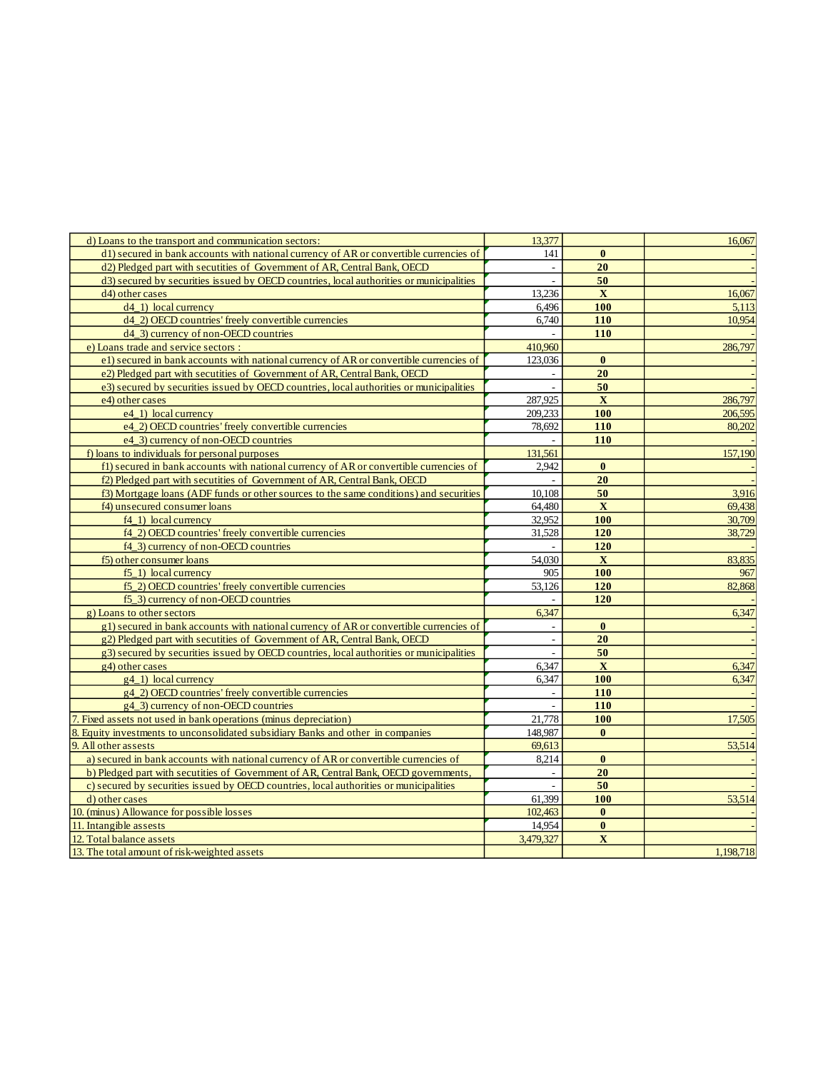| d) Loans to the transport and communication sectors:                                      | 13,377         |              | 16,067    |
|-------------------------------------------------------------------------------------------|----------------|--------------|-----------|
| d1) secured in bank accounts with national currency of AR or convertible currencies of    | 141            | $\bf{0}$     |           |
| d2) Pledged part with secutities of Government of AR, Central Bank, OECD                  | $\frac{1}{2}$  | 20           |           |
| d3) secured by securities issued by OECD countries, local authorities or municipalities   |                | 50           |           |
| $d4$ ) other cases                                                                        | 13,236         | X            | 16,067    |
| d <sub>4</sub> 1) local currency                                                          | 6.496          | <b>100</b>   | 5,113     |
| d4_2) OECD countries' freely convertible currencies                                       | 6,740          | 110          | 10,954    |
| d4_3) currency of non-OECD countries                                                      |                | 110          |           |
| e) Loans trade and service sectors :                                                      | 410,960        |              | 286,797   |
| e1) secured in bank accounts with national currency of AR or convertible currencies of    | 123,036        | $\bf{0}$     |           |
| e2) Pledged part with secutities of Government of AR, Central Bank, OECD                  |                | 20           |           |
| e3) secured by securities issued by OECD countries, local authorities or municipalities   |                | 50           |           |
| e4) other cases                                                                           | 287,925        | X            | 286,797   |
| e4 1) local currency                                                                      | 209,233        | 100          | 206.595   |
| e4_2) OECD countries' freely convertible currencies                                       | 78,692         | 110          | 80.202    |
| e4_3) currency of non-OECD countries                                                      |                | 110          |           |
| f) loans to individuals for personal purposes                                             | 131,561        |              | 157,190   |
| f1) secured in bank accounts with national currency of AR or convertible currencies of    | 2.942          | $\bf{0}$     |           |
| f2) Pledged part with secutities of Government of AR, Central Bank, OECD                  |                | 20           |           |
| f3) Mortgage loans (ADF funds or other sources to the same conditions) and securities     | 10,108         | 50           | 3.916     |
| f4) unsecured consumer loans                                                              | 64,480         | $\mathbf X$  | 69,438    |
| $f4_1$ ) local currency                                                                   | 32,952         | 100          | 30,709    |
| f4_2) OECD countries' freely convertible currencies                                       | 31,528         | <b>120</b>   | 38,729    |
| f4_3) currency of non-OECD countries                                                      |                | 120          |           |
| f5) other consumer loans                                                                  | 54,030         | X            | 83,835    |
| f <sub>5</sub> 1) local currency                                                          | 905            | 100          | 967       |
| f5_2) OECD countries' freely convertible currencies                                       | 53,126         | 120          | 82,868    |
| f5_3) currency of non-OECD countries                                                      |                | 120          |           |
| g) Loans to other sectors                                                                 | 6,347          |              | 6,347     |
| $g(1)$ secured in bank accounts with national currency of AR or convertible currencies of |                | $\bf{0}$     |           |
| g2) Pledged part with secutities of Government of AR, Central Bank, OECD                  |                | 20           |           |
| g3) secured by securities issued by OECD countries, local authorities or municipalities   | $\overline{a}$ | 50           |           |
| g4) other cases                                                                           | 6,347          | $\mathbf{X}$ | 6,347     |
| $g(4_1)$ local currency                                                                   | 6,347          | 100          | 6,347     |
| g4_2) OECD countries' freely convertible currencies                                       | ÷,             | 110          |           |
| g4 3) currency of non-OECD countries                                                      | $\overline{a}$ | <b>110</b>   |           |
| 7. Fixed assets not used in bank operations (minus depreciation)                          | 21,778         | 100          | 17,505    |
| 8. Equity investments to unconsolidated subsidiary Banks and other in companies           | 148,987        | $\bf{0}$     |           |
| 9. All other assests                                                                      | 69,613         |              | 53,514    |
| a) secured in bank accounts with national currency of AR or convertible currencies of     | 8,214          | $\bf{0}$     |           |
| b) Pledged part with secutities of Government of AR, Central Bank, OECD governments,      |                | 20           |           |
| c) secured by securities issued by OECD countries, local authorities or municipalities    |                | 50           |           |
| d) other cases                                                                            | 61,399         | 100          | 53,514    |
| 10. (minus) Allowance for possible losses                                                 | 102,463        | $\bf{0}$     |           |
| 11. Intangible assests                                                                    | 14,954         | $\bf{0}$     |           |
| 12. Total balance assets                                                                  | 3,479,327      | $\mathbf X$  |           |
| 13. The total amount of risk-weighted assets                                              |                |              | 1,198,718 |